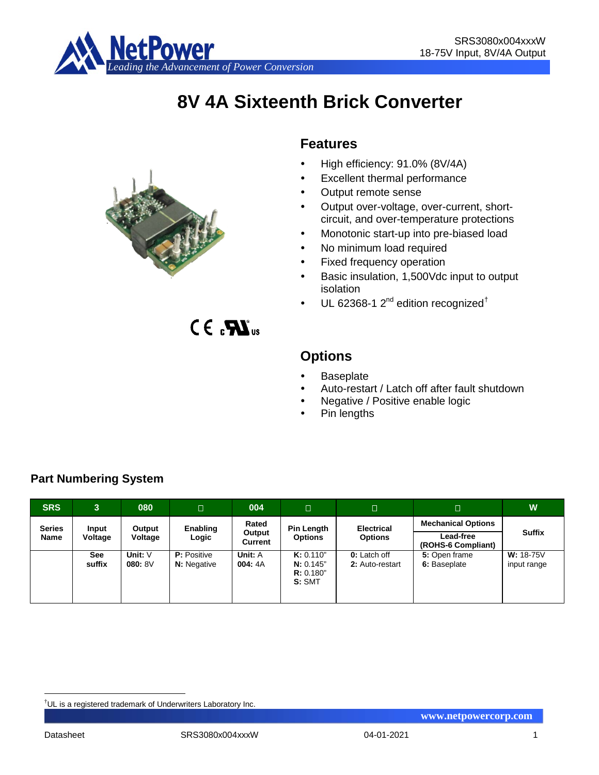

# **8V 4A Sixteenth Brick Converter**

## **Features**

- High efficiency: 91.0% (8V/4A)
- Excellent thermal performance
- Output remote sense
- Output over-voltage, over-current, shortcircuit, and over-temperature protections
- Monotonic start-up into pre-biased load
- No minimum load required
- Fixed frequency operation
- Basic insulation, 1,500Vdc input to output isolation
- UL 62368-1  $2^{nd}$  edition recognized<sup>[†](#page-0-0)</sup>

 $C \in \mathbf{R}$ <sub>us</sub>

## **Options**

- **Baseplate**
- Auto-restart / Latch off after fault shutdown
- Negative / Positive enable logic
- Pin lengths

| <b>SRS</b>                   | 3.                   | 080                 | Π                                        | 004                        | Π                                            | $\Box$                                 | $\Box$                                                       | W                          |
|------------------------------|----------------------|---------------------|------------------------------------------|----------------------------|----------------------------------------------|----------------------------------------|--------------------------------------------------------------|----------------------------|
| <b>Series</b><br><b>Name</b> | Input<br>Voltage     | Output<br>Voltage   | Enabling<br>Logic                        | Rated<br>Output<br>Current | Pin Length<br><b>Options</b>                 | <b>Electrical</b><br><b>Options</b>    | <b>Mechanical Options</b><br>Lead-free<br>(ROHS-6 Compliant) | <b>Suffix</b>              |
|                              | <b>See</b><br>suffix | Unit: $V$<br>080:8V | <b>P:</b> Positive<br><b>N:</b> Negative | Unit: A<br>004:4A          | K: 0.110"<br>N: 0.145"<br>R: 0.180"<br>S:SMT | <b>0:</b> Latch off<br>2: Auto-restart | 5: Open frame<br>6: Baseplate                                | $W: 18-75V$<br>input range |

## **Part Numbering System**



<span id="page-0-0"></span><sup>|&</sup>lt;br>|<br>| <sup>†</sup>UL is a registered trademark of Underwriters Laboratory Inc.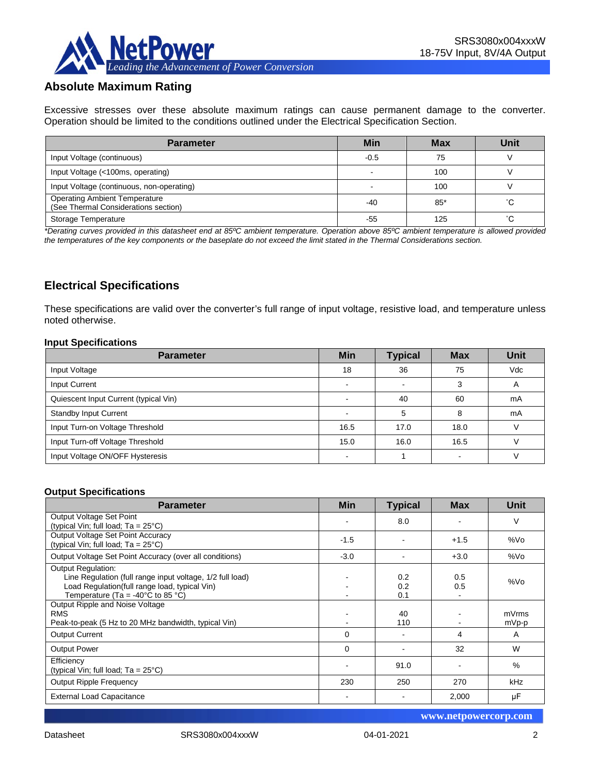

## **Absolute Maximum Rating**

Excessive stresses over these absolute maximum ratings can cause permanent damage to the converter. Operation should be limited to the conditions outlined under the Electrical Specification Section.

| <b>Parameter</b>                                                             | Min    | <b>Max</b> | Unit |
|------------------------------------------------------------------------------|--------|------------|------|
| Input Voltage (continuous)                                                   | $-0.5$ | 75         |      |
| Input Voltage (<100ms, operating)                                            |        | 100        |      |
| Input Voltage (continuous, non-operating)                                    |        | 100        |      |
| <b>Operating Ambient Temperature</b><br>(See Thermal Considerations section) | $-40$  | $85*$      | °С   |
| Storage Temperature                                                          | -55    | 125        | °С   |

*\*Derating curves provided in this datasheet end at 85ºC ambient temperature. Operation above 85ºC ambient temperature is allowed provided the temperatures of the key components or the baseplate do not exceed the limit stated in the Thermal Considerations section.*

## **Electrical Specifications**

These specifications are valid over the converter's full range of input voltage, resistive load, and temperature unless noted otherwise.

#### **Input Specifications**

| <b>Parameter</b>                      | <b>Min</b>               | <b>Typical</b> | <b>Max</b> | <b>Unit</b> |
|---------------------------------------|--------------------------|----------------|------------|-------------|
| Input Voltage                         | 18                       | 36             | 75         | Vdc         |
| Input Current                         | $\overline{\phantom{0}}$ | -              | 3          | A           |
| Quiescent Input Current (typical Vin) |                          | 40             | 60         | mA          |
| <b>Standby Input Current</b>          |                          | 5              | 8          | mA          |
| Input Turn-on Voltage Threshold       | 16.5                     | 17.0           | 18.0       |             |
| Input Turn-off Voltage Threshold      | 15.0                     | 16.0           | 16.5       |             |
| Input Voltage ON/OFF Hysteresis       |                          |                |            |             |

#### **Output Specifications**

| <b>Parameter</b>                                                                                                                                                                                  | <b>Min</b> | <b>Typical</b>    | <b>Max</b> | <b>Unit</b>    |
|---------------------------------------------------------------------------------------------------------------------------------------------------------------------------------------------------|------------|-------------------|------------|----------------|
| Output Voltage Set Point<br>(typical Vin; full load; $Ta = 25^{\circ}C$ )                                                                                                                         |            | 8.0               |            | V              |
| Output Voltage Set Point Accuracy<br>(typical Vin; full load; $Ta = 25^{\circ}C$ )                                                                                                                | $-1.5$     |                   | $+1.5$     | %Vo            |
| Output Voltage Set Point Accuracy (over all conditions)                                                                                                                                           | $-3.0$     |                   | $+3.0$     | %Vo            |
| <b>Output Regulation:</b><br>Line Regulation (full range input voltage, 1/2 full load)<br>Load Regulation(full range load, typical Vin)<br>Temperature (Ta = -40 $^{\circ}$ C to 85 $^{\circ}$ C) |            | 0.2<br>0.2<br>0.1 | 0.5<br>0.5 | %Vo            |
| Output Ripple and Noise Voltage<br><b>RMS</b><br>Peak-to-peak (5 Hz to 20 MHz bandwidth, typical Vin)                                                                                             |            | 40<br>110         |            | mVrms<br>mVp-p |
| <b>Output Current</b>                                                                                                                                                                             | 0          |                   | 4          | A              |
| <b>Output Power</b>                                                                                                                                                                               | 0          |                   | 32         | W              |
| Efficiency<br>(typical Vin; full load; $Ta = 25^{\circ}C$ )                                                                                                                                       |            | 91.0              |            | $\%$           |
| <b>Output Ripple Frequency</b>                                                                                                                                                                    | 230        | 250               | 270        | kHz            |
| <b>External Load Capacitance</b>                                                                                                                                                                  |            |                   | 2,000      | μF             |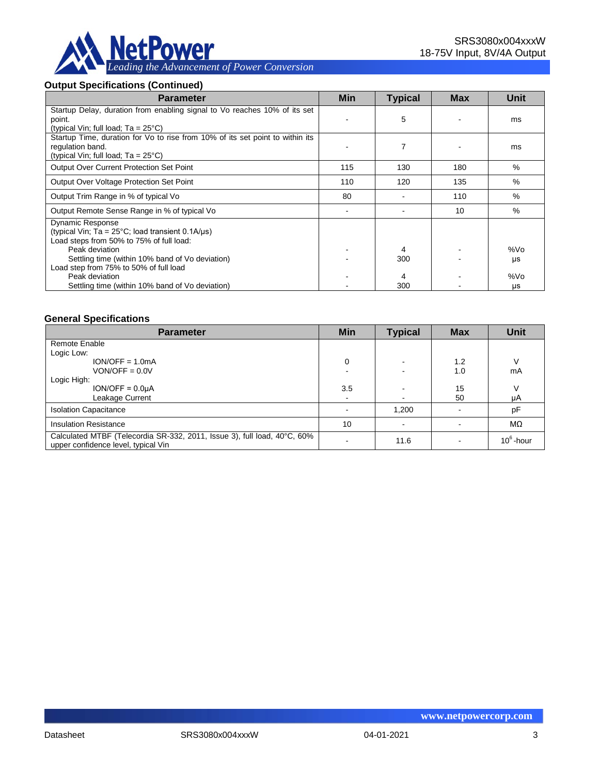

#### **Output Specifications (Continued)**

| <b>Parameter</b>                                                                                                                                   | <b>Min</b> | <b>Typical</b> | <b>Max</b> | Unit |
|----------------------------------------------------------------------------------------------------------------------------------------------------|------------|----------------|------------|------|
| Startup Delay, duration from enabling signal to Vo reaches 10% of its set<br>point.<br>(typical Vin; full load; $Ta = 25^{\circ}C$ )               |            | 5              |            | ms   |
| Startup Time, duration for Vo to rise from 10% of its set point to within its<br>regulation band.<br>(typical Vin; full load; $Ta = 25^{\circ}C$ ) |            |                |            | ms   |
| <b>Output Over Current Protection Set Point</b>                                                                                                    | 115        | 130            | 180        | $\%$ |
| Output Over Voltage Protection Set Point                                                                                                           | 110        | 120            | 135        | $\%$ |
| Output Trim Range in % of typical Vo                                                                                                               | 80         |                | 110        | $\%$ |
| Output Remote Sense Range in % of typical Vo                                                                                                       |            |                | 10         | %    |
| <b>Dynamic Response</b><br>(typical Vin; $Ta = 25^{\circ}C$ ; load transient 0.1A/ $\mu s$ )<br>Load steps from 50% to 75% of full load:           |            |                |            |      |
| Peak deviation                                                                                                                                     |            | 4              |            | %Vo  |
| Settling time (within 10% band of Vo deviation)<br>Load step from 75% to 50% of full load                                                          |            | 300            |            | μs   |
| Peak deviation                                                                                                                                     |            | 4              |            | %Vo  |
| Settling time (within 10% band of Vo deviation)                                                                                                    |            | 300            |            | μs   |

#### **General Specifications**

| <b>Parameter</b>                                                                                                | <b>Min</b> | <b>Typical</b> | <b>Max</b> | <b>Unit</b>  |
|-----------------------------------------------------------------------------------------------------------------|------------|----------------|------------|--------------|
| Remote Enable                                                                                                   |            |                |            |              |
| Logic Low:                                                                                                      |            |                |            |              |
| $ION/OFF = 1.0mA$                                                                                               | 0          | -              | 1.2        | ν            |
| $VON/OFF = 0.0V$                                                                                                |            |                | 1.0        | mA           |
| Logic High:                                                                                                     |            |                |            |              |
| $ION/OFF = 0.0µA$                                                                                               | 3.5        |                | 15         |              |
| Leakage Current                                                                                                 |            |                | 50         | μA           |
| <b>Isolation Capacitance</b>                                                                                    |            | 1,200          |            | pF           |
| <b>Insulation Resistance</b>                                                                                    | 10         |                |            | MΩ           |
| Calculated MTBF (Telecordia SR-332, 2011, Issue 3), full load, 40°C, 60%<br>upper confidence level, typical Vin |            | 11.6           |            | $10^6$ -hour |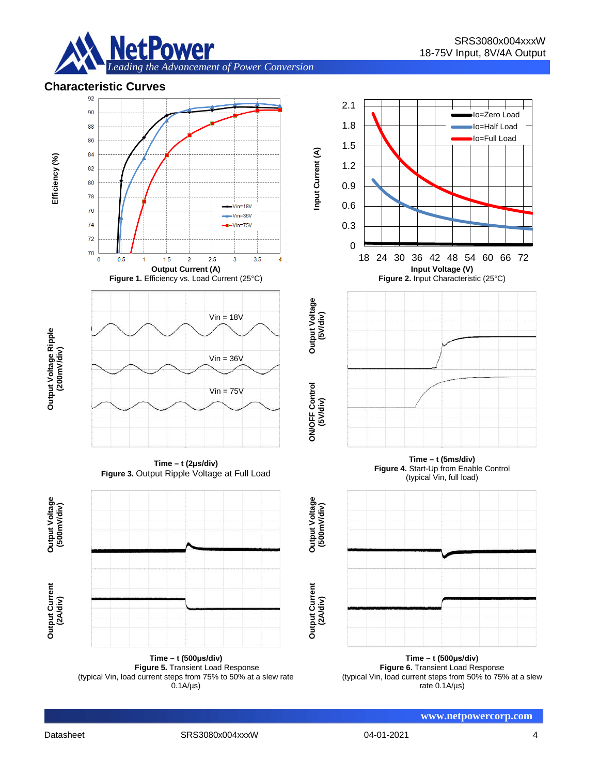

# **Characteristic Curves**



**Time – t (500μs/div) Figure 5.** Transient Load Response (typical Vin, load current steps from 75% to 50% at a slew rate  $0.1A/\mu s$ 

**Time – t (500μs/div) Figure 6.** Transient Load Response (typical Vin, load current steps from 50% to 75% at a slew rate 0.1A/µs)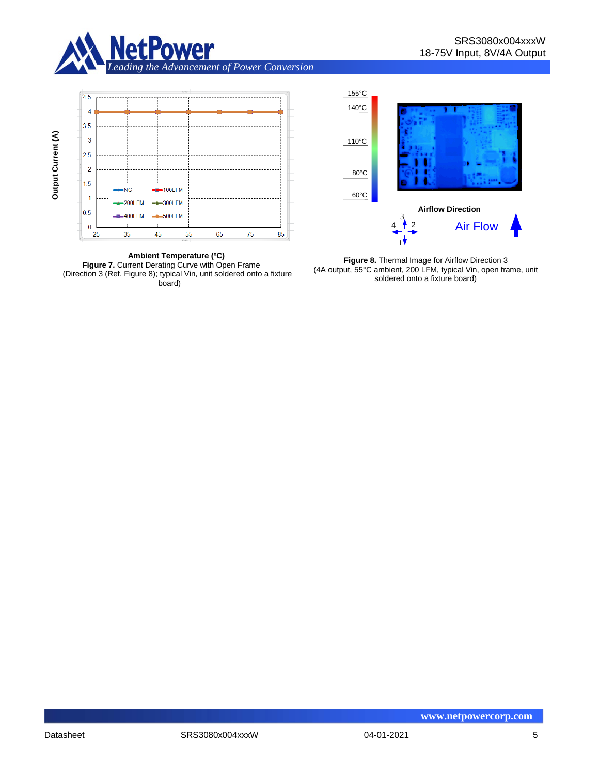





155°C

**Figure 8.** Thermal Image for Airflow Direction 3 (4A output, 55°C ambient, 200 LFM, typical Vin, open frame, unit soldered onto a fixture board)

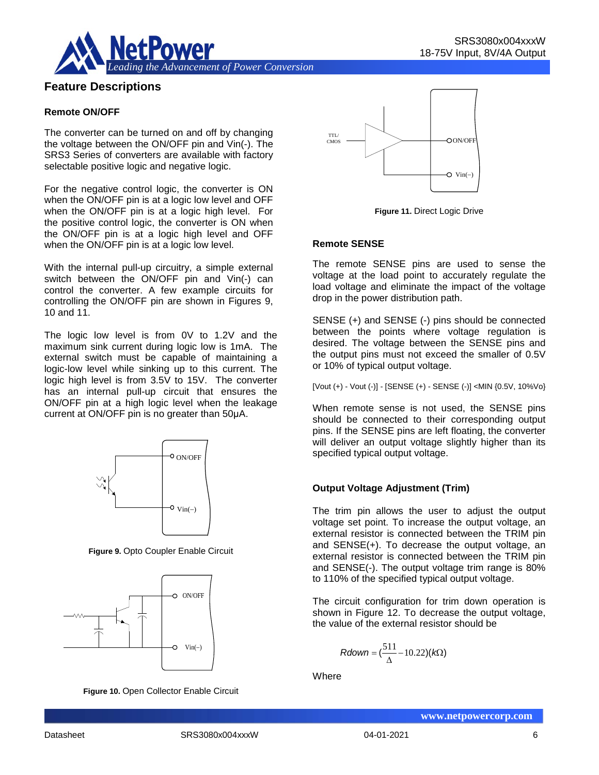

## **Feature Descriptions**

#### **Remote ON/OFF**

The converter can be turned on and off by changing the voltage between the ON/OFF pin and Vin(-). The SRS3 Series of converters are available with factory selectable positive logic and negative logic.

For the negative control logic, the converter is ON when the ON/OFF pin is at a logic low level and OFF when the ON/OFF pin is at a logic high level. For the positive control logic, the converter is ON when the ON/OFF pin is at a logic high level and OFF when the ON/OFF pin is at a logic low level.

With the internal pull-up circuitry, a simple external switch between the ON/OFF pin and Vin(-) can control the converter. A few example circuits for controlling the ON/OFF pin are shown in Figures 9, 10 and 11.

The logic low level is from 0V to 1.2V and the maximum sink current during logic low is 1mA. The external switch must be capable of maintaining a logic-low level while sinking up to this current. The logic high level is from 3.5V to 15V. The converter has an internal pull-up circuit that ensures the ON/OFF pin at a high logic level when the leakage current at ON/OFF pin is no greater than 50μA.



**Figure 9.** Opto Coupler Enable Circuit



**Figure 10.** Open Collector Enable Circuit



**Figure 11.** Direct Logic Drive

#### **Remote SENSE**

The remote SENSE pins are used to sense the voltage at the load point to accurately regulate the load voltage and eliminate the impact of the voltage drop in the power distribution path.

SENSE (+) and SENSE (-) pins should be connected between the points where voltage regulation is desired. The voltage between the SENSE pins and the output pins must not exceed the smaller of 0.5V or 10% of typical output voltage.

[Vout (+) - Vout (-)] - [SENSE (+) - SENSE (-)] <MIN {0.5V, 10%Vo}

When remote sense is not used, the SENSE pins should be connected to their corresponding output pins. If the SENSE pins are left floating, the converter will deliver an output voltage slightly higher than its specified typical output voltage.

#### **Output Voltage Adjustment (Trim)**

The trim pin allows the user to adjust the output voltage set point. To increase the output voltage, an external resistor is connected between the TRIM pin and SENSE(+). To decrease the output voltage, an external resistor is connected between the TRIM pin and SENSE(-). The output voltage trim range is 80% to 110% of the specified typical output voltage.

The circuit configuration for trim down operation is shown in Figure 12. To decrease the output voltage, the value of the external resistor should be

$$
Rdown = (\frac{511}{\Delta} - 10.22)(k\Omega)
$$

**Where**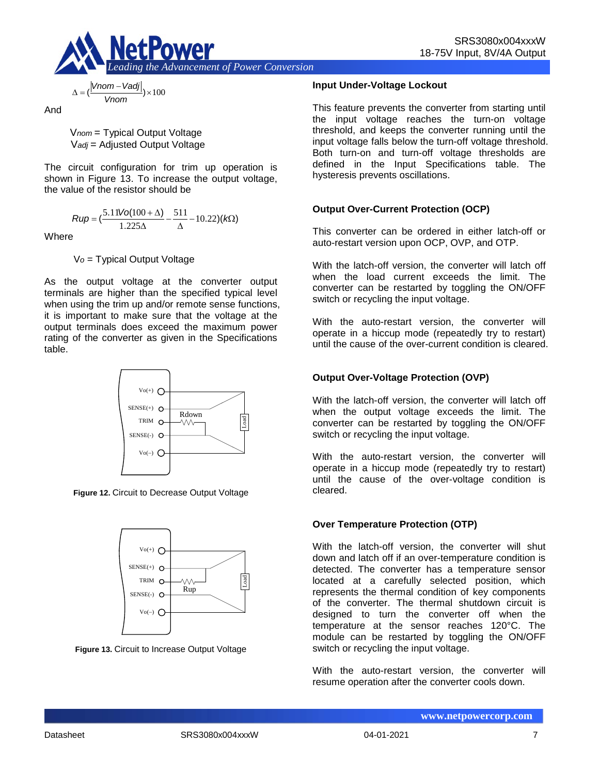

**Input Under-Voltage Lockout**

This feature prevents the converter from starting until the input voltage reaches the turn-on voltage threshold, and keeps the converter running until the input voltage falls below the turn-off voltage threshold. Both turn-on and turn-off voltage thresholds are defined in the Input Specifications table. The hysteresis prevents oscillations.

#### **Output Over-Current Protection (OCP)**

This converter can be ordered in either latch-off or auto-restart version upon OCP, OVP, and OTP.

With the latch-off version, the converter will latch off when the load current exceeds the limit. The converter can be restarted by toggling the ON/OFF switch or recycling the input voltage.

With the auto-restart version, the converter will operate in a hiccup mode (repeatedly try to restart) until the cause of the over-current condition is cleared.

#### **Output Over-Voltage Protection (OVP)**

With the latch-off version, the converter will latch off when the output voltage exceeds the limit. The converter can be restarted by toggling the ON/OFF switch or recycling the input voltage.

With the auto-restart version, the converter will operate in a hiccup mode (repeatedly try to restart) until the cause of the over-voltage condition is cleared.

#### **Over Temperature Protection (OTP)**

With the latch-off version, the converter will shut down and latch off if an over-temperature condition is detected. The converter has a temperature sensor located at a carefully selected position, which represents the thermal condition of key components of the converter. The thermal shutdown circuit is designed to turn the converter off when the temperature at the sensor reaches 120°C. The module can be restarted by toggling the ON/OFF switch or recycling the input voltage.

With the auto-restart version, the converter will resume operation after the converter cools down.

$$
\Delta = \left(\frac{|Vnom - Vadj|}{Vnom}\right) \times 100
$$

And

V*nom* = Typical Output Voltage V*adj* = Adjusted Output Voltage

The circuit configuration for trim up operation is shown in Figure 13. To increase the output voltage, the value of the resistor should be

$$
Rup = \left(\frac{5.11\text{Vol}(100 + \Delta)}{1.225\Delta} - \frac{511}{\Delta} - 10.22\right)(k\Omega)
$$

**Where** 

V*o* = Typical Output Voltage

As the output voltage at the converter output terminals are higher than the specified typical level when using the trim up and/or remote sense functions, it is important to make sure that the voltage at the output terminals does exceed the maximum power rating of the converter as given in the Specifications table.



**Figure 12.** Circuit to Decrease Output Voltage



**Figure 13.** Circuit to Increase Output Voltage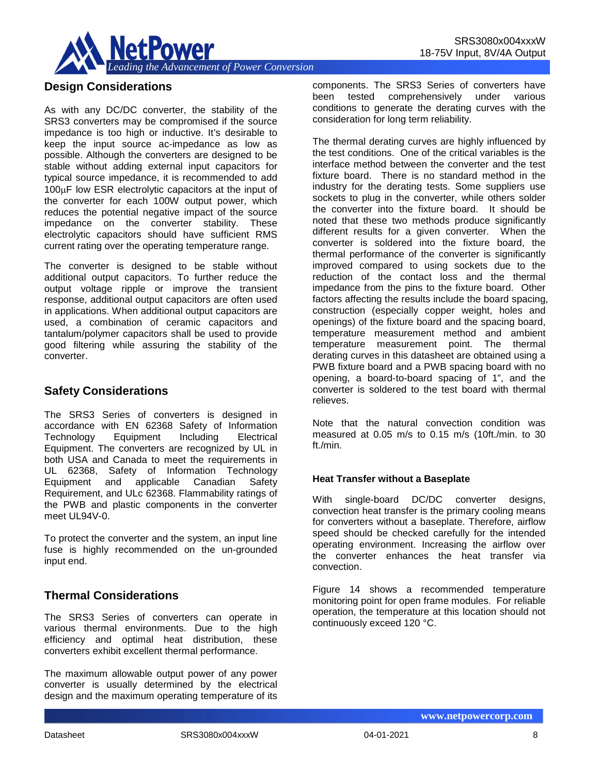

## **Design Considerations**

As with any DC/DC converter, the stability of the SRS3 converters may be compromised if the source impedance is too high or inductive. It's desirable to keep the input source ac-impedance as low as possible. Although the converters are designed to be stable without adding external input capacitors for typical source impedance, it is recommended to add 100µF low ESR electrolytic capacitors at the input of the converter for each 100W output power, which reduces the potential negative impact of the source impedance on the converter stability. These electrolytic capacitors should have sufficient RMS current rating over the operating temperature range.

The converter is designed to be stable without additional output capacitors. To further reduce the output voltage ripple or improve the transient response, additional output capacitors are often used in applications. When additional output capacitors are used, a combination of ceramic capacitors and tantalum/polymer capacitors shall be used to provide good filtering while assuring the stability of the converter.

### **Safety Considerations**

The SRS3 Series of converters is designed in accordance with EN 62368 Safety of Information Technology Equipment Including Electrical Equipment. The converters are recognized by UL in both USA and Canada to meet the requirements in UL 62368, Safety of Information Technology Equipment and applicable Canadian Safety Requirement, and ULc 62368. Flammability ratings of the PWB and plastic components in the converter meet UL94V-0.

To protect the converter and the system, an input line fuse is highly recommended on the un-grounded input end.

## **Thermal Considerations**

The SRS3 Series of converters can operate in various thermal environments. Due to the high efficiency and optimal heat distribution, these converters exhibit excellent thermal performance.

The maximum allowable output power of any power converter is usually determined by the electrical design and the maximum operating temperature of its

components. The SRS3 Series of converters have tested comprehensively under various conditions to generate the derating curves with the consideration for long term reliability.

The thermal derating curves are highly influenced by the test conditions. One of the critical variables is the interface method between the converter and the test fixture board. There is no standard method in the industry for the derating tests. Some suppliers use sockets to plug in the converter, while others solder the converter into the fixture board. It should be noted that these two methods produce significantly different results for a given converter. When the converter is soldered into the fixture board, the thermal performance of the converter is significantly improved compared to using sockets due to the reduction of the contact loss and the thermal impedance from the pins to the fixture board. Other factors affecting the results include the board spacing, construction (especially copper weight, holes and openings) of the fixture board and the spacing board, temperature measurement method and ambient temperature measurement point. The thermal derating curves in this datasheet are obtained using a PWB fixture board and a PWB spacing board with no opening, a board-to-board spacing of 1", and the converter is soldered to the test board with thermal relieves.

Note that the natural convection condition was measured at 0.05 m/s to 0.15 m/s (10ft./min. to 30 ft./min.

#### **Heat Transfer without a Baseplate**

With single-board DC/DC converter designs, convection heat transfer is the primary cooling means for converters without a baseplate. Therefore, airflow speed should be checked carefully for the intended operating environment. Increasing the airflow over the converter enhances the heat transfer via convection.

Figure 14 shows a recommended temperature monitoring point for open frame modules. For reliable operation, the temperature at this location should not continuously exceed 120 °C.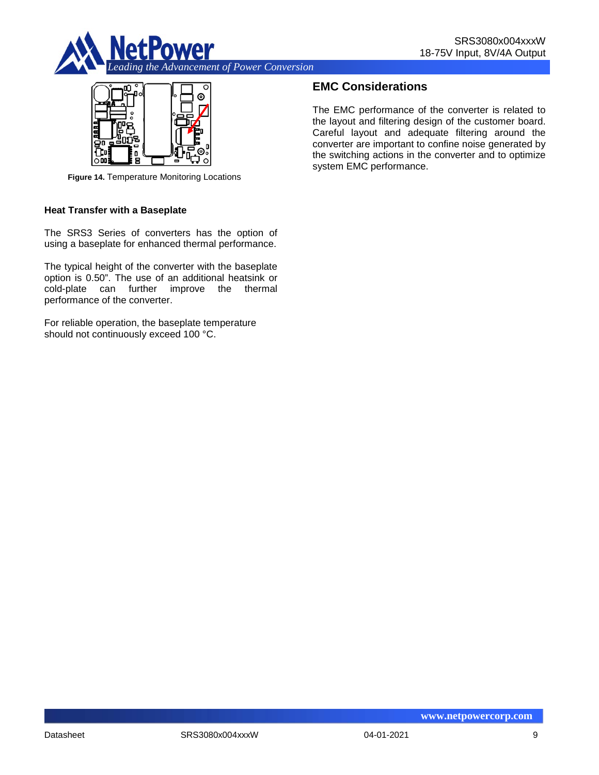



**Figure 14.** Temperature Monitoring Locations

#### **Heat Transfer with a Baseplate**

The SRS3 Series of converters has the option of using a baseplate for enhanced thermal performance.

The typical height of the converter with the baseplate option is 0.50". The use of an additional heatsink or cold-plate can further improve the thermal performance of the converter.

For reliable operation, the baseplate temperature should not continuously exceed 100 °C.

## **EMC Considerations**

The EMC performance of the converter is related to the layout and filtering design of the customer board. Careful layout and adequate filtering around the converter are important to confine noise generated by the switching actions in the converter and to optimize system EMC performance.